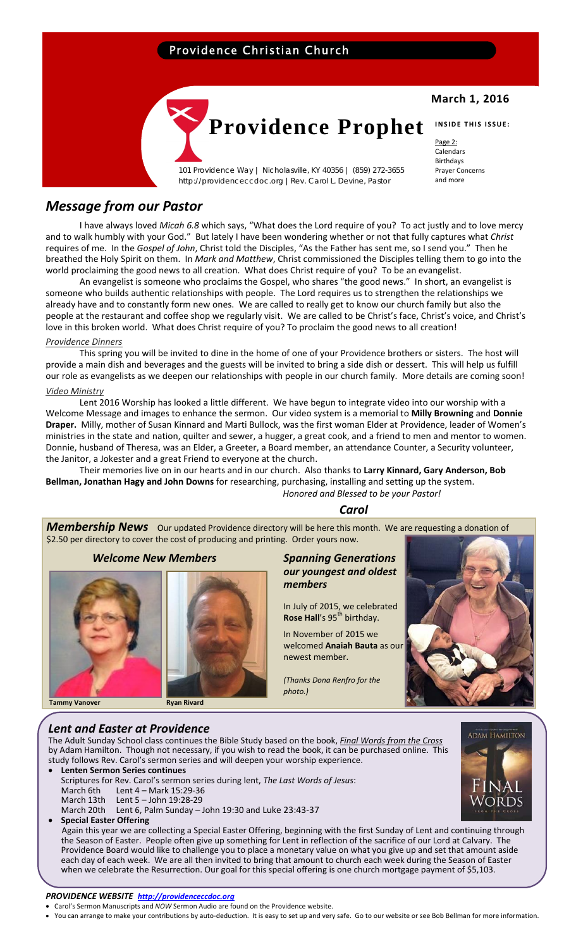### Providence Christian Church



101 Providence Way | Nicholasville, KY 40356 | (859) 272-3655 http://providenceccdoc.org |Rev. Carol L. Devine, Pastor

### **March 1, 2016**

Page 2: Calendars Birthdays Prayer Concerns and more

### *Message from our Pastor*

I have always loved *Micah 6.8* which says, "What does the Lord require of you? To act justly and to love mercy and to walk humbly with your God." But lately I have been wondering whether or not that fully captures what *Christ* requires of me. In the *Gospel of John*, Christ told the Disciples, "As the Father has sent me, so I send you." Then he breathed the Holy Spirit on them. In *Mark and Matthew*, Christ commissioned the Disciples telling them to go into the world proclaiming the good news to all creation. What does Christ require of you? To be an evangelist.

An evangelist is someone who proclaims the Gospel, who shares "the good news." In short, an evangelist is someone who builds authentic relationships with people. The Lord requires us to strengthen the relationships we already have and to constantly form new ones. We are called to really get to know our church family but also the people at the restaurant and coffee shop we regularly visit. We are called to be Christ's face, Christ's voice, and Christ's love in this broken world. What does Christ require of you? To proclaim the good news to all creation!

### *Providence Dinners*

This spring you will be invited to dine in the home of one of your Providence brothers or sisters. The host will provide a main dish and beverages and the guests will be invited to bring a side dish or dessert. This will help us fulfill our role as evangelists as we deepen our relationships with people in our church family. More details are coming soon!

### *Video Ministry*

Lent 2016 Worship has looked a little different. We have begun to integrate video into our worship with a Welcome Message and images to enhance the sermon. Our video system is a memorial to **Milly Browning** and **Donnie Draper.** Milly, mother of Susan Kinnard and Marti Bullock, was the first woman Elder at Providence, leader of Women's ministries in the state and nation, quilter and sewer, a hugger, a great cook, and a friend to men and mentor to women. Donnie, husband of Theresa, was an Elder, a Greeter, a Board member, an attendance Counter, a Security volunteer, the Janitor, a Jokester and a great Friend to everyone at the church.

Their memories live on in our hearts and in our church. Also thanks to **Larry Kinnard, Gary Anderson, Bob Bellman, Jonathan Hagy and John Downs** for researching, purchasing, installing and setting up the system. *Honored and Blessed to be your Pastor!* 

### $\sf{Carol}$

*Membership News* Our updated Providence directory will be here this month. We are requesting a donation of \$2.50 per directory to cover the cost of producing and printing. Order yours now.

 *Welcome New Members Spanning Generations* 







## *our youngest and oldest members*

 In July of 2015, we celebrated **Rose Hall's 95<sup>th</sup> birthday.** 

 In November of 2015 we welcomed **Anaiah Bauta** as our newest member.

*(Thanks Dona Renfro for the*



### *Lent and Easter at Providence*

The Adult Sunday School class continues the Bible Study based on the book, *Final Words from the Cross* by Adam Hamilton. Though not necessary, if you wish to read the book, it can be purchased online. This study follows Rev. Carol's sermon series and will deepen your worship experience.

- **Lenten Sermon Series continues** Scriptures for Rev. Carol's sermon series during lent, *The Last Words of Jesus*: Lent 4 – Mark 15:29-36 March 13th Lent 5 – John 19:28‐29
- March 20th Lent 6, Palm Sunday John 19:30 and Luke 23:43-37
- **Special Easter Offering**

 Again this year we are collecting a Special Easter Offering, beginning with the first Sunday of Lent and continuing through the Season of Easter. People often give up something for Lent in reflection of the sacrifice of our Lord at Calvary. The Providence Board would like to challenge you to place a monetary value on what you give up and set that amount aside each day of each week. We are all then invited to bring that amount to church each week during the Season of Easter when we celebrate the Resurrection. Our goal for this special offering is one church mortgage payment of \$5,103.

# **ADAM HAMILTON** Words

### *PROVIDENCE WEBSITE http://providenceccdoc.org*

- Carol's Sermon Manuscripts and *NOW* Sermon Audio are found on the Providence website.
- You can arrange to make your contributions by auto‐deduction. It is easy to set up and very safe. Go to our website or see Bob Bellman for more information.